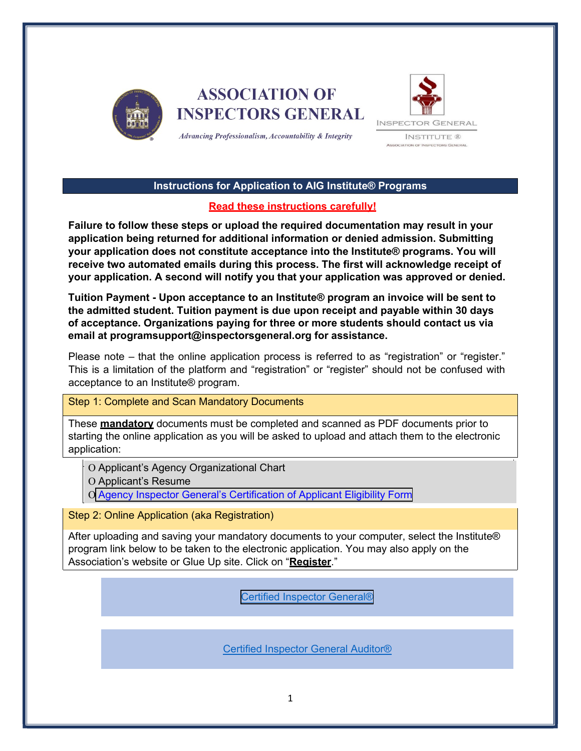

**ASSOCIATION OF INSPECTORS GENERAL** 



Advancing Professionalism, Accountability & Integrity

#### **Instructions for Application to AIG Institute® Programs**

### **Read these instructions carefully!**

**Failure to follow these steps or upload the required documentation may result in your application being returned for additional information or denied admission. Submitting your application does not constitute acceptance into the Institute® programs. You will receive two automated emails during this process. The first will acknowledge receipt of your application. A second will notify you that your application was approved or denied.** 

**Tuition Payment - Upon acceptance to an Institute® program an invoice will be sent to the admitted student. Tuition payment is due upon receipt and payable within 30 days of acceptance. Organizations paying for three or more students should contact us via email at programsupport@inspectorsgeneral.org for assistance.**

Please note – that the online application process is referred to as "registration" or "register." This is a limitation of the platform and "registration" or "register" should not be confused with acceptance to an Institute® program.

#### Step 1: Complete and Scan Mandatory Documents

These **mandatory** documents must be completed and scanned as PDF documents prior to starting the online application as you will be asked to upload and attach them to the electronic application:

Ο Applicant's Agency Organizational Chart

Ο Applicant's Resume

Ο Agency Inspector General's [Certification of](http://inspectorsgeneral.org/files/2021/12/Agency-IG-Certificate-12.2021.pdf) Applicant Eligibility Form

Step 2: Online Application (aka Registration)

After uploading and saving your mandatory documents to your computer, select the Institute® program link below to be taken to the electronic application. You may also apply on the Association's website or Glue Up site. Click on "**Register**."

[Certified Inspector](https://inspectorsgeneral.glueup.com/event/2022-aig-certified-inspector-general-institute-53686/) General®

[Certified Inspector General Auditor®](https://inspectorsgeneral.glueup.com/event/2022-aig-certified-inspector-general-auditor-institute-53687/)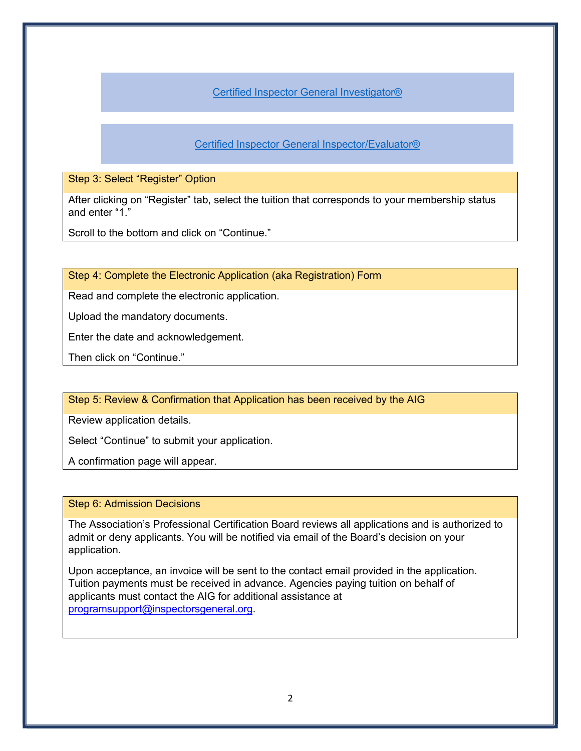[Certified Inspector General Investigator®](https://inspectorsgeneral.glueup.com/event/2022-aig-certified-inspector-general-investigator-institute-53685/)

[Certified Inspector General Inspector/Evaluator®](https://inspectorsgeneral.glueup.com/event/2022-aig-certified-inspector-general-inspector-evaluator-institute-53676/)

#### Step 3: Select "Register" Option

After clicking on "Register" tab, select the tuition that corresponds to your membership status and enter "1."

Scroll to the bottom and click on "Continue."

Step 4: Complete the Electronic Application (aka Registration) Form

Read and complete the electronic application.

Upload the mandatory documents.

Enter the date and acknowledgement.

Then click on "Continue."

Step 5: Review & Confirmation that Application has been received by the AIG

Review application details.

Select "Continue" to submit your application.

A confirmation page will appear.

#### Step 6: Admission Decisions

The Association's Professional Certification Board reviews all applications and is authorized to admit or deny applicants. You will be notified via email of the Board's decision on your application.

Upon acceptance, an invoice will be sent to the contact email provided in the application. Tuition payments must be received in advance. Agencies paying tuition on behalf of applicants must contact the AIG for additional assistance at programsupport[@inspectorsgeneral.org.](mailto:exec@inspectorsgeneral.org)